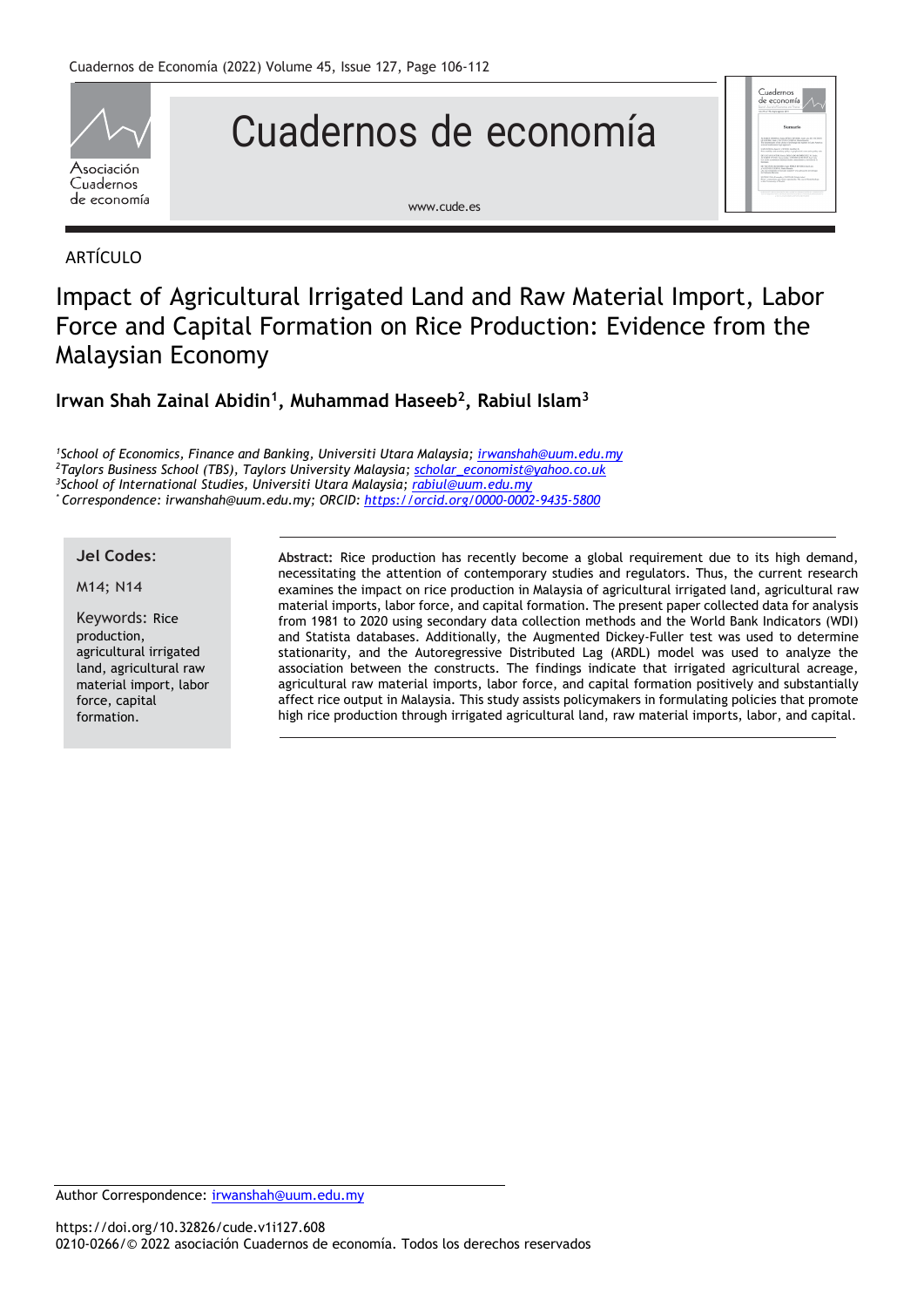

# Cuadernos de economía



# ARTÍCULO

# Impact of Agricultural Irrigated Land and Raw Material Import, Labor Force and Capital Formation on Rice Production: Evidence from the Malaysian Economy

# **Irwan Shah Zainal Abidin<sup>1</sup> , Muhammad Haseeb<sup>2</sup> , Rabiul Islam<sup>3</sup>**

*School of Economics, Finance and Banking, Universiti Utara Malaysia; [irwanshah@uum.edu.my](mailto:irwanshah@uum.edu.my) Taylors Business School (TBS), Taylors University Malaysia; [scholar\\_economist@yahoo.co.uk](mailto:scholar_economist@yahoo.co.uk) School of International Studies, Universiti Utara Malaysia; [rabiul@uum.edu.my](mailto:rabiul@uum.edu.my) \* Correspondence: irwanshah@uum.edu.my; ORCID: <https://orcid.org/0000-0002-9435-5800>*

## **Jel Codes**:

### M14; N14

Keywords: Rice production, agricultural irrigated land, agricultural raw material import, labor force, capital formation.

**Abstract:** Rice production has recently become a global requirement due to its high demand, necessitating the attention of contemporary studies and regulators. Thus, the current research examines the impact on rice production in Malaysia of agricultural irrigated land, agricultural raw material imports, labor force, and capital formation. The present paper collected data for analysis from 1981 to 2020 using secondary data collection methods and the World Bank Indicators (WDI) and Statista databases. Additionally, the Augmented Dickey-Fuller test was used to determine stationarity, and the Autoregressive Distributed Lag (ARDL) model was used to analyze the association between the constructs. The findings indicate that irrigated agricultural acreage, agricultural raw material imports, labor force, and capital formation positively and substantially affect rice output in Malaysia. This study assists policymakers in formulating policies that promote high rice production through irrigated agricultural land, raw material imports, labor, and capital.

Cuadernos<br>do esenem

Author Correspondence: [irwanshah@uum.edu.my](mailto:irwanshah@uum.edu.my)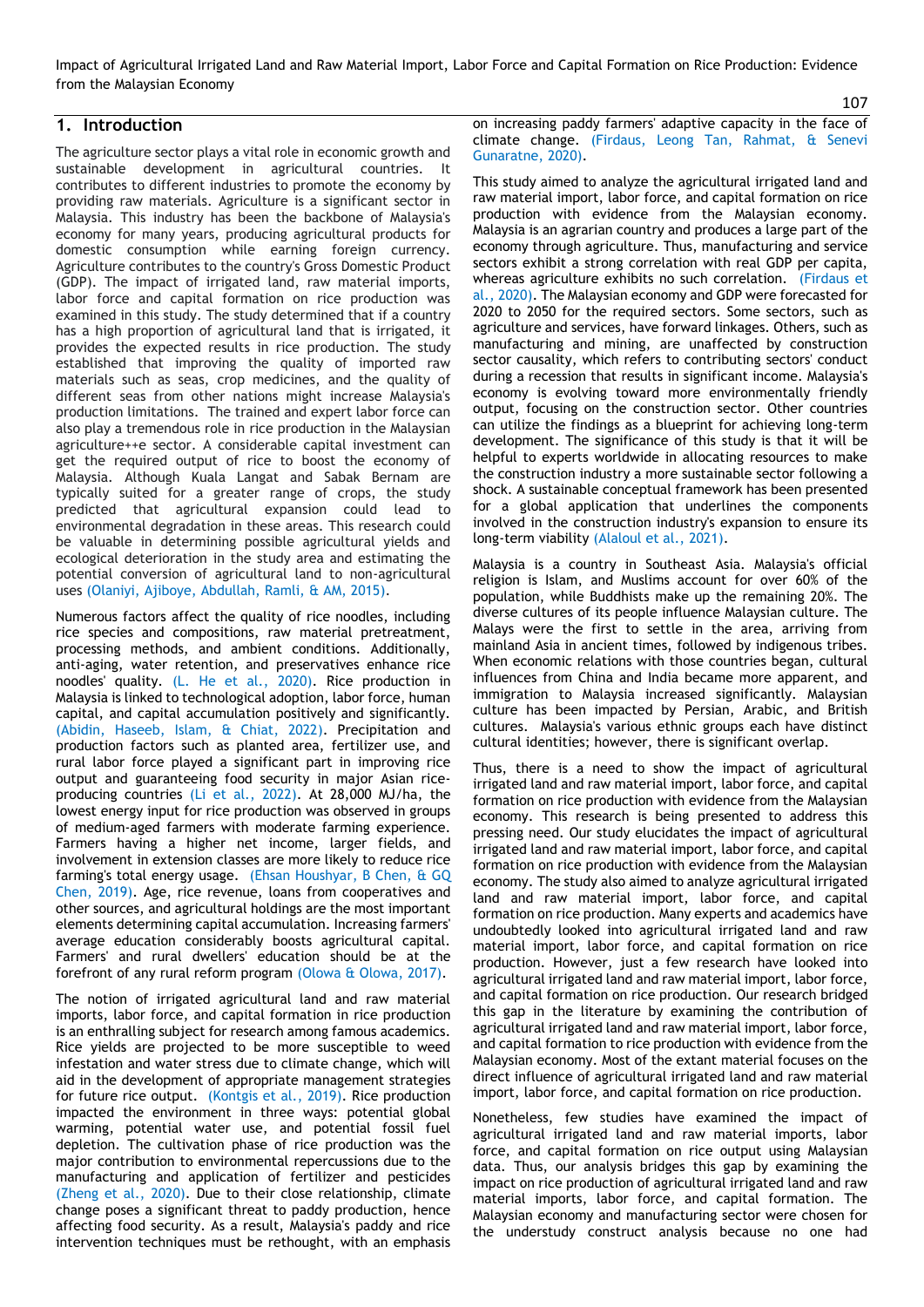Impact of Agricultural Irrigated Land and Raw Material Import, Labor Force and Capital Formation on Rice Production: Evidence from the Malaysian Economy

### **1. Introduction**

The agriculture sector plays a vital role in economic growth and sustainable development in agricultural countries. It contributes to different industries to promote the economy by providing raw materials. Agriculture is a significant sector in Malaysia. This industry has been the backbone of Malaysia's economy for many years, producing agricultural products for domestic consumption while earning foreign currency. Agriculture contributes to the country's Gross Domestic Product (GDP). The impact of irrigated land, raw material imports, labor force and capital formation on rice production was examined in this study. The study determined that if a country has a high proportion of agricultural land that is irrigated, it provides the expected results in rice production. The study established that improving the quality of imported raw materials such as seas, crop medicines, and the quality of different seas from other nations might increase Malaysia's production limitations. The trained and expert labor force can also play a tremendous role in rice production in the Malaysian agriculture++e sector. A considerable capital investment can get the required output of rice to boost the economy of Malaysia. Although Kuala Langat and Sabak Bernam are typically suited for a greater range of crops, the study predicted that agricultural expansion could lead to environmental degradation in these areas. This research could be valuable in determining possible agricultural yields and ecological deterioration in the study area and estimating the potential conversion of agricultural land to non-agricultural uses [\(Olaniyi, Ajiboye, Abdullah, Ramli, & AM, 2015\)](#page-6-0).

Numerous factors affect the quality of rice noodles, including rice species and compositions, raw material pretreatment, processing methods, and ambient conditions. Additionally, anti-aging, water retention, and preservatives enhance rice noodles' quality. [\(L. He et al., 2020\)](#page-6-1). Rice production in Malaysia is linked to technological adoption, labor force, human capital, and capital accumulation positively and significantly. [\(Abidin, Haseeb, Islam, & Chiat, 2022\)](#page-5-0). Precipitation and production factors such as planted area, fertilizer use, and rural labor force played a significant part in improving rice output and guaranteeing food security in major Asian riceproducing countries [\(Li et al., 2022\)](#page-6-2). At 28,000 MJ/ha, the lowest energy input for rice production was observed in groups of medium-aged farmers with moderate farming experience. Farmers having a higher net income, larger fields, and involvement in extension classes are more likely to reduce rice farming's total energy usage. [\(Ehsan Houshyar, B Chen, & GQ](#page-6-3)  [Chen, 2019\)](#page-6-3). Age, rice revenue, loans from cooperatives and other sources, and agricultural holdings are the most important elements determining capital accumulation. Increasing farmers' average education considerably boosts agricultural capital. Farmers' and rural dwellers' education should be at the forefront of any rural reform program [\(Olowa & Olowa, 2017\)](#page-6-4).

The notion of irrigated agricultural land and raw material imports, labor force, and capital formation in rice production is an enthralling subject for research among famous academics. Rice yields are projected to be more susceptible to weed infestation and water stress due to climate change, which will aid in the development of appropriate management strategies for future rice output. [\(Kontgis et al., 2019\)](#page-6-5). Rice production impacted the environment in three ways: potential global warming, potential water use, and potential fossil fuel depletion. The cultivation phase of rice production was the major contribution to environmental repercussions due to the manufacturing and application of fertilizer and pesticides [\(Zheng et al., 2020\)](#page-6-6). Due to their close relationship, climate change poses a significant threat to paddy production, hence affecting food security. As a result, Malaysia's paddy and rice intervention techniques must be rethought, with an emphasis

on increasing paddy farmers' adaptive capacity in the face of climate change. [\(Firdaus, Leong Tan, Rahmat, & Senevi](#page-6-7)  [Gunaratne, 2020\)](#page-6-7).

This study aimed to analyze the agricultural irrigated land and raw material import, labor force, and capital formation on rice production with evidence from the Malaysian economy. Malaysia is an agrarian country and produces a large part of the economy through agriculture. Thus, manufacturing and service sectors exhibit a strong correlation with real GDP per capita, whereas agriculture exhibits no such correlation. [\(Firdaus et](#page-6-7)  [al., 2020\)](#page-6-7). The Malaysian economy and GDP were forecasted for 2020 to 2050 for the required sectors. Some sectors, such as agriculture and services, have forward linkages. Others, such as manufacturing and mining, are unaffected by construction sector causality, which refers to contributing sectors' conduct during a recession that results in significant income. Malaysia's economy is evolving toward more environmentally friendly output, focusing on the construction sector. Other countries can utilize the findings as a blueprint for achieving long-term development. The significance of this study is that it will be helpful to experts worldwide in allocating resources to make the construction industry a more sustainable sector following a shock. A sustainable conceptual framework has been presented for a global application that underlines the components involved in the construction industry's expansion to ensure its long-term viability [\(Alaloul et al., 2021\)](#page-5-1).

Malaysia is a country in Southeast Asia. Malaysia's official religion is Islam, and Muslims account for over 60% of the population, while Buddhists make up the remaining 20%. The diverse cultures of its people influence Malaysian culture. The Malays were the first to settle in the area, arriving from mainland Asia in ancient times, followed by indigenous tribes. When economic relations with those countries began, cultural influences from China and India became more apparent, and immigration to Malaysia increased significantly. Malaysian culture has been impacted by Persian, Arabic, and British cultures. Malaysia's various ethnic groups each have distinct cultural identities; however, there is significant overlap.

Thus, there is a need to show the impact of agricultural irrigated land and raw material import, labor force, and capital formation on rice production with evidence from the Malaysian economy. This research is being presented to address this pressing need. Our study elucidates the impact of agricultural irrigated land and raw material import, labor force, and capital formation on rice production with evidence from the Malaysian economy. The study also aimed to analyze agricultural irrigated land and raw material import, labor force, and capital formation on rice production. Many experts and academics have undoubtedly looked into agricultural irrigated land and raw material import, labor force, and capital formation on rice production. However, just a few research have looked into agricultural irrigated land and raw material import, labor force, and capital formation on rice production. Our research bridged this gap in the literature by examining the contribution of agricultural irrigated land and raw material import, labor force, and capital formation to rice production with evidence from the Malaysian economy. Most of the extant material focuses on the direct influence of agricultural irrigated land and raw material import, labor force, and capital formation on rice production.

Nonetheless, few studies have examined the impact of agricultural irrigated land and raw material imports, labor force, and capital formation on rice output using Malaysian data. Thus, our analysis bridges this gap by examining the impact on rice production of agricultural irrigated land and raw material imports, labor force, and capital formation. The Malaysian economy and manufacturing sector were chosen for the understudy construct analysis because no one had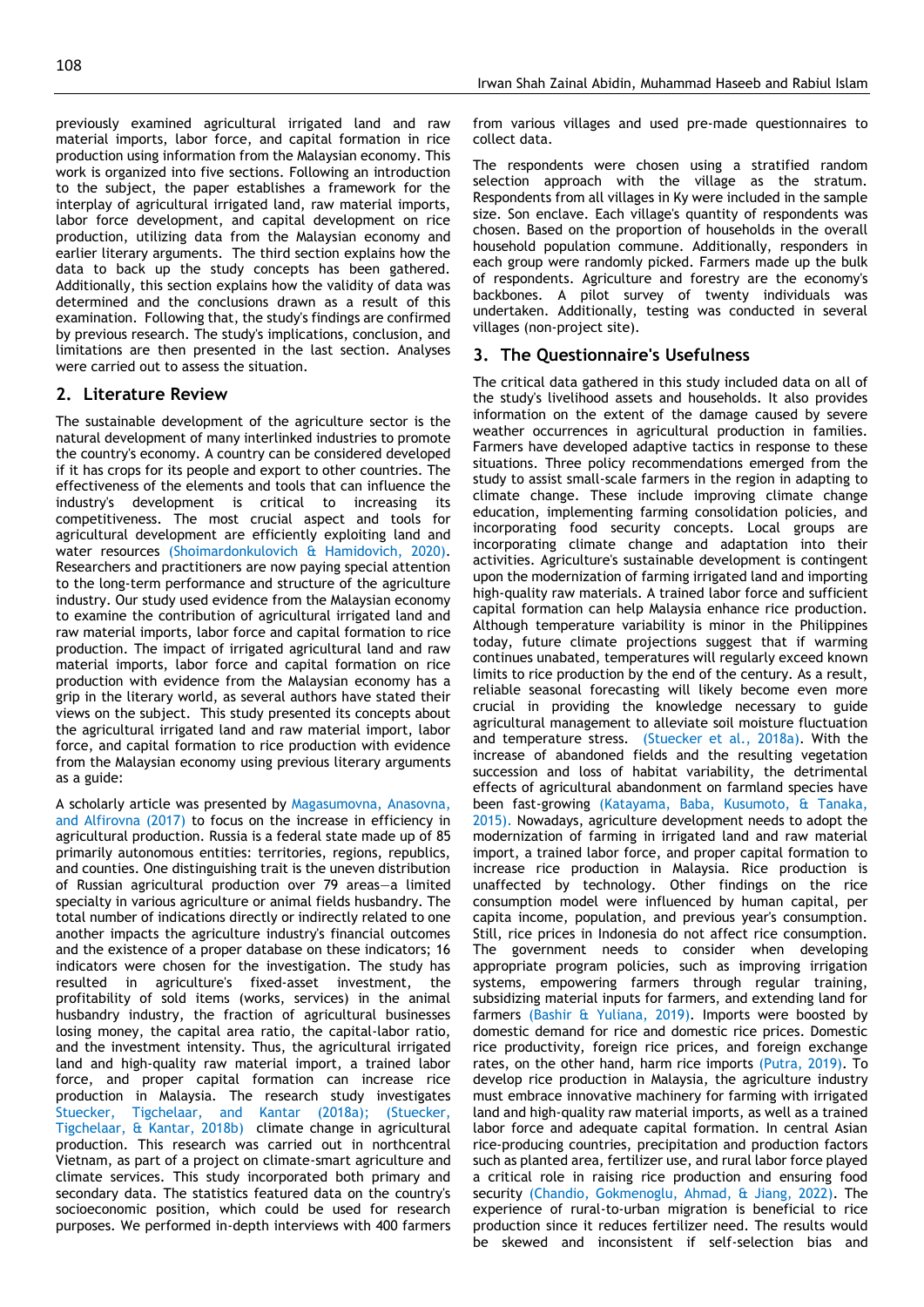previously examined agricultural irrigated land and raw material imports, labor force, and capital formation in rice production using information from the Malaysian economy. This work is organized into five sections. Following an introduction to the subject, the paper establishes a framework for the interplay of agricultural irrigated land, raw material imports, labor force development, and capital development on rice production, utilizing data from the Malaysian economy and earlier literary arguments. The third section explains how the data to back up the study concepts has been gathered. Additionally, this section explains how the validity of data was determined and the conclusions drawn as a result of this examination. Following that, the study's findings are confirmed by previous research. The study's implications, conclusion, and limitations are then presented in the last section. Analyses were carried out to assess the situation.

# **2. Literature Review**

The sustainable development of the agriculture sector is the natural development of many interlinked industries to promote the country's economy. A country can be considered developed if it has crops for its people and export to other countries. The effectiveness of the elements and tools that can influence the industry's development is critical to increasing its competitiveness. The most crucial aspect and tools for agricultural development are efficiently exploiting land and water resources [\(Shoimardonkulovich & Hamidovich, 2020\)](#page-6-8). Researchers and practitioners are now paying special attention to the long-term performance and structure of the agriculture industry. Our study used evidence from the Malaysian economy to examine the contribution of agricultural irrigated land and raw material imports, labor force and capital formation to rice production. The impact of irrigated agricultural land and raw material imports, labor force and capital formation on rice production with evidence from the Malaysian economy has a grip in the literary world, as several authors have stated their views on the subject. This study presented its concepts about the agricultural irrigated land and raw material import, labor force, and capital formation to rice production with evidence from the Malaysian economy using previous literary arguments as a guide:

A scholarly article was presented by [Magasumovna, Anasovna,](#page-6-9)  and Alfirovna (2017) to focus on the increase in efficiency in agricultural production. Russia is a federal state made up of 85 primarily autonomous entities: territories, regions, republics, and counties. One distinguishing trait is the uneven distribution of Russian agricultural production over 79 areas—a limited specialty in various agriculture or animal fields husbandry. The total number of indications directly or indirectly related to one another impacts the agriculture industry's financial outcomes and the existence of a proper database on these indicators; 16 indicators were chosen for the investigation. The study has resulted in agriculture's fixed-asset investment, the profitability of sold items (works, services) in the animal husbandry industry, the fraction of agricultural businesses losing money, the capital area ratio, the capital-labor ratio, and the investment intensity. Thus, the agricultural irrigated land and high-quality raw material import, a trained labor force, and proper capital formation can increase rice production in Malaysia. The research study investigates [Stuecker, Tigchelaar, and Kantar \(2018a\);](#page-6-10) [\(Stuecker,](#page-6-11)  [Tigchelaar, & Kantar, 2018b\)](#page-6-11) climate change in agricultural production. This research was carried out in northcentral Vietnam, as part of a project on climate-smart agriculture and climate services. This study incorporated both primary and secondary data. The statistics featured data on the country's socioeconomic position, which could be used for research purposes. We performed in-depth interviews with 400 farmers

from various villages and used pre-made questionnaires to collect data.

The respondents were chosen using a stratified random selection approach with the village as the stratum. Respondents from all villages in Ky were included in the sample size. Son enclave. Each village's quantity of respondents was chosen. Based on the proportion of households in the overall household population commune. Additionally, responders in each group were randomly picked. Farmers made up the bulk of respondents. Agriculture and forestry are the economy's backbones. A pilot survey of twenty individuals was undertaken. Additionally, testing was conducted in several villages (non-project site).

# **3. The Questionnaire's Usefulness**

The critical data gathered in this study included data on all of the study's livelihood assets and households. It also provides information on the extent of the damage caused by severe weather occurrences in agricultural production in families. Farmers have developed adaptive tactics in response to these situations. Three policy recommendations emerged from the study to assist small-scale farmers in the region in adapting to climate change. These include improving climate change education, implementing farming consolidation policies, and incorporating food security concepts. Local groups are incorporating climate change and adaptation into their activities. Agriculture's sustainable development is contingent upon the modernization of farming irrigated land and importing high-quality raw materials. A trained labor force and sufficient capital formation can help Malaysia enhance rice production. Although temperature variability is minor in the Philippines today, future climate projections suggest that if warming continues unabated, temperatures will regularly exceed known limits to rice production by the end of the century. As a result, reliable seasonal forecasting will likely become even more crucial in providing the knowledge necessary to guide agricultural management to alleviate soil moisture fluctuation and temperature stress. [\(Stuecker et al., 2018a\)](#page-6-10). With the increase of abandoned fields and the resulting vegetation succession and loss of habitat variability, the detrimental effects of agricultural abandonment on farmland species have been fast-growing [\(Katayama, Baba, Kusumoto, & Tanaka,](#page-6-12)  [2015\)](#page-6-12). Nowadays, agriculture development needs to adopt the modernization of farming in irrigated land and raw material import, a trained labor force, and proper capital formation to increase rice production in Malaysia. Rice production is unaffected by technology. Other findings on the rice consumption model were influenced by human capital, per capita income, population, and previous year's consumption. Still, rice prices in Indonesia do not affect rice consumption. The government needs to consider when developing appropriate program policies, such as improving irrigation systems, empowering farmers through regular training, subsidizing material inputs for farmers, and extending land for farmers [\(Bashir & Yuliana, 2019\)](#page-6-13). Imports were boosted by domestic demand for rice and domestic rice prices. Domestic rice productivity, foreign rice prices, and foreign exchange rates, on the other hand, harm rice imports [\(Putra, 2019\)](#page-6-14). To develop rice production in Malaysia, the agriculture industry must embrace innovative machinery for farming with irrigated land and high-quality raw material imports, as well as a trained labor force and adequate capital formation. In central Asian rice-producing countries, precipitation and production factors such as planted area, fertilizer use, and rural labor force played a critical role in raising rice production and ensuring food security [\(Chandio, Gokmenoglu, Ahmad, & Jiang, 2022\)](#page-6-15). The experience of rural-to-urban migration is beneficial to rice production since it reduces fertilizer need. The results would be skewed and inconsistent if self-selection bias and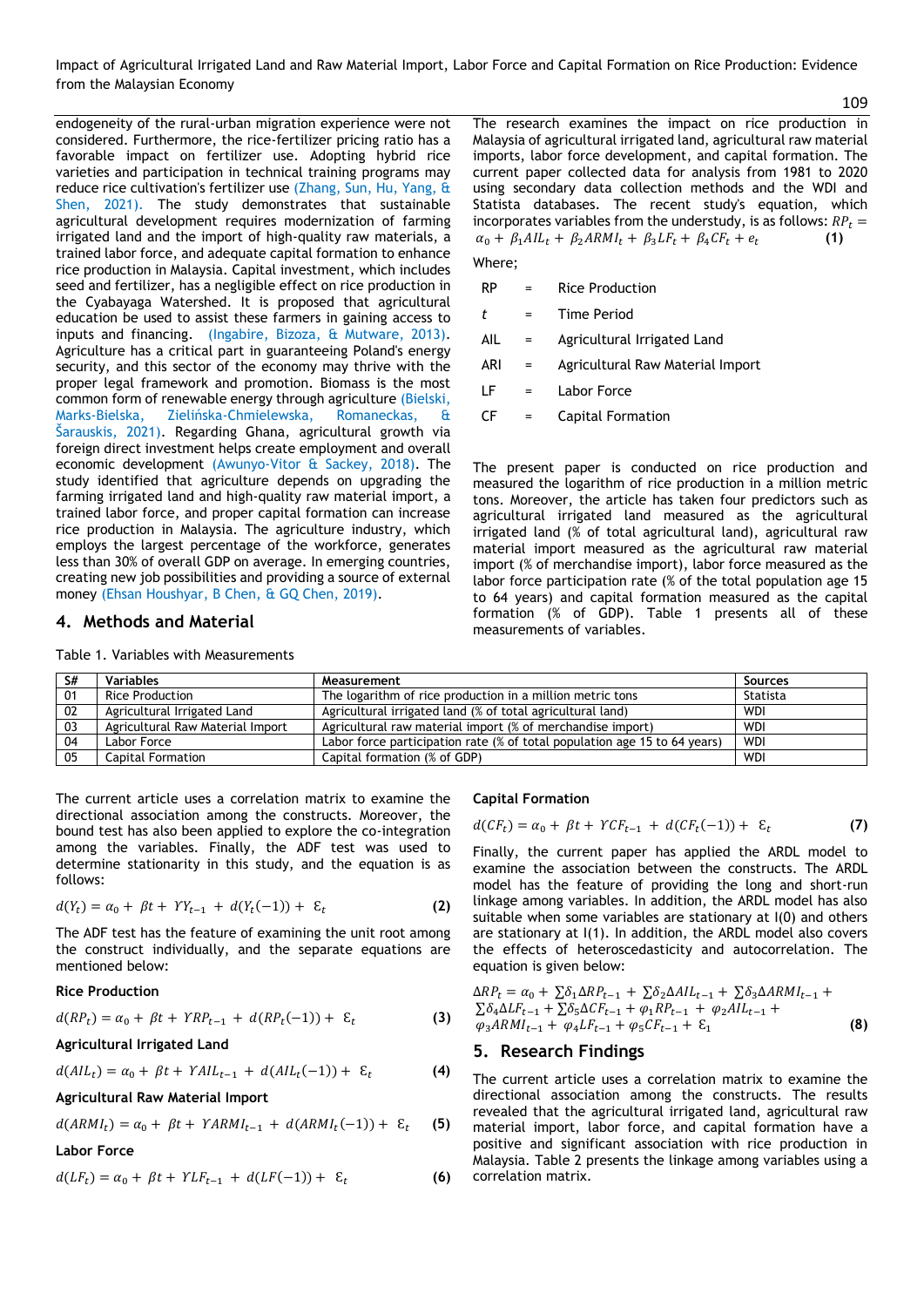Impact of Agricultural Irrigated Land and Raw Material Import, Labor Force and Capital Formation on Rice Production: Evidence from the Malaysian Economy

109

endogeneity of the rural-urban migration experience were not considered. Furthermore, the rice-fertilizer pricing ratio has a favorable impact on fertilizer use. Adopting hybrid rice varieties and participation in technical training programs may reduce rice cultivation's fertilizer use (Zhang, Sun, Hu, Yang, & Shen, 2021). The study demonstrates that sustainable agricultural development requires modernization of farming irrigated land and the import of high-quality raw materials, a trained labor force, and adequate capital formation to enhance rice production in Malaysia. Capital investment, which includes seed and fertilizer, has a negligible effect on rice production in the Cyabayaga Watershed. It is proposed that agricultural education be used to assist these farmers in gaining access to inputs and financing. [\(Ingabire, Bizoza, & Mutware, 2013\)](#page-6-16). Agriculture has a critical part in guaranteeing Poland's energy security, and this sector of the economy may thrive with the proper legal framework and promotion. Biomass is the most common form of renewable energy through agriculture [\(Bielski,](#page-6-17)  Marks-Bielska, Zielińska[-Chmielewska, Romaneckas, &](#page-6-17)  [Šarauskis, 2021](#page-6-17)). Regarding Ghana, agricultural growth via foreign direct investment helps create employment and overall economic development [\(Awunyo-Vitor & Sackey, 2018\)](#page-5-2). The study identified that agriculture depends on upgrading the farming irrigated land and high-quality raw material import, a trained labor force, and proper capital formation can increase rice production in Malaysia. The agriculture industry, which employs the largest percentage of the workforce, generates less than 30% of overall GDP on average. In emerging countries, creating new job possibilities and providing a source of external money [\(Ehsan Houshyar, B Chen, & GQ Chen, 2019\)](#page-6-18).

#### **4. Methods and Material**

**S# Variables Measurement Sources** 01 Rice Production The logarithm of rice production in a million metric tons Statista<br>02 Agricultural Irrigated Land Agricultural irrigated land (% of total agricultural land) WDI 02 Agricultural Irrigated Land Agricultural irrigated land (% of total agricultural land) WDI 03 Agricultural Raw Material Import Agricultural raw material import (% of merchandise import) WDI<br>04 Labor Force Carticipation rate (% of total population age 15 to 64 years) WDI Labor force participation rate (% of total population age 15 to 64 years) 05 Capital Formation Capital formation (% of GDP) WDI

The current article uses a correlation matrix to examine the directional association among the constructs. Moreover, the bound test has also been applied to explore the co-integration among the variables. Finally, the ADF test was used to determine stationarity in this study, and the equation is as follows:

$$
d(Y_t) = \alpha_0 + \beta t + YY_{t-1} + d(Y_t(-1)) + \varepsilon_t
$$
 (2)

The ADF test has the feature of examining the unit root among the construct individually, and the separate equations are mentioned below:

#### **Rice Production**

$$
d(RP_t) = \alpha_0 + \beta t + YRP_{t-1} + d(RP_t(-1)) + \varepsilon_t
$$
 (3)

**Agricultural Irrigated Land** 

$$
d(AIL_t) = \alpha_0 + \beta t + YAIL_{t-1} + d(AIL_t(-1)) + \varepsilon_t \tag{4}
$$

**Agricultural Raw Material Import** 

$$
d(ARMI_t) = \alpha_0 + \beta t + \gamma ARMI_{t-1} + d(ARMI_t(-1)) + \varepsilon_t
$$
 (5)

**Labor Force** 

$$
d(LF_t) = \alpha_0 + \beta t + YLF_{t-1} + d(LF(-1)) + \varepsilon_t
$$
 (6)

#### **Capital Formation**

$$
d(CF_t) = \alpha_0 + \beta t + YCF_{t-1} + d(CF_t(-1)) + \varepsilon_t
$$
 (7)

Finally, the current paper has applied the ARDL model to examine the association between the constructs. The ARDL model has the feature of providing the long and short-run linkage among variables. In addition, the ARDL model has also suitable when some variables are stationary at I(0) and others are stationary at I(1). In addition, the ARDL model also covers the effects of heteroscedasticity and autocorrelation. The equation is given below:

$$
\Delta RP_t = \alpha_0 + \sum \delta_1 \Delta RP_{t-1} + \sum \delta_2 \Delta AIL_{t-1} + \sum \delta_3 \Delta ARMI_{t-1} + \n\sum \delta_4 \Delta LF_{t-1} + \sum \delta_5 \Delta CF_{t-1} + \varphi_1 RP_{t-1} + \varphi_2 AIL_{t-1} + \n\varphi_3 ARMI_{t-1} + \varphi_4 LF_{t-1} + \varphi_5 CF_{t-1} + \varepsilon_1
$$
\n(8)

# **5. Research Findings**

The current article uses a correlation matrix to examine the directional association among the constructs. The results revealed that the agricultural irrigated land, agricultural raw material import, labor force, and capital formation have a positive and significant association with rice production in Malaysia. Table 2 presents the linkage among variables using a correlation matrix.

Table 1. Variables with Measurements

| The research examines the impact on rice production in                                        |  |  |  |  |  |
|-----------------------------------------------------------------------------------------------|--|--|--|--|--|
| Malaysia of agricultural irrigated land, agricultural raw material                            |  |  |  |  |  |
| imports, labor force development, and capital formation. The                                  |  |  |  |  |  |
| current paper collected data for analysis from 1981 to 2020                                   |  |  |  |  |  |
| using secondary data collection methods and the WDI and                                       |  |  |  |  |  |
| Statista databases. The recent study's equation, which                                        |  |  |  |  |  |
| incorporates variables from the understudy, is as follows: $RPr$ =                            |  |  |  |  |  |
| $\alpha_0 + \beta_1 A I L_t + \beta_2 A R M I_t + \beta_3 L F_t + \beta_4 C F_t + e_t$<br>(1) |  |  |  |  |  |

Where;

- RP = Rice Production
- *t* = Time Period
- AIL = Agricultural Irrigated Land
- ARI = Agricultural Raw Material Import
- LF = Labor Force
- CF = Capital Formation

The present paper is conducted on rice production and measured the logarithm of rice production in a million metric tons. Moreover, the article has taken four predictors such as agricultural irrigated land measured as the agricultural irrigated land (% of total agricultural land), agricultural raw material import measured as the agricultural raw material import (% of merchandise import), labor force measured as the labor force participation rate (% of the total population age 15 to 64 years) and capital formation measured as the capital formation (% of GDP). Table 1 presents all of these measurements of variables.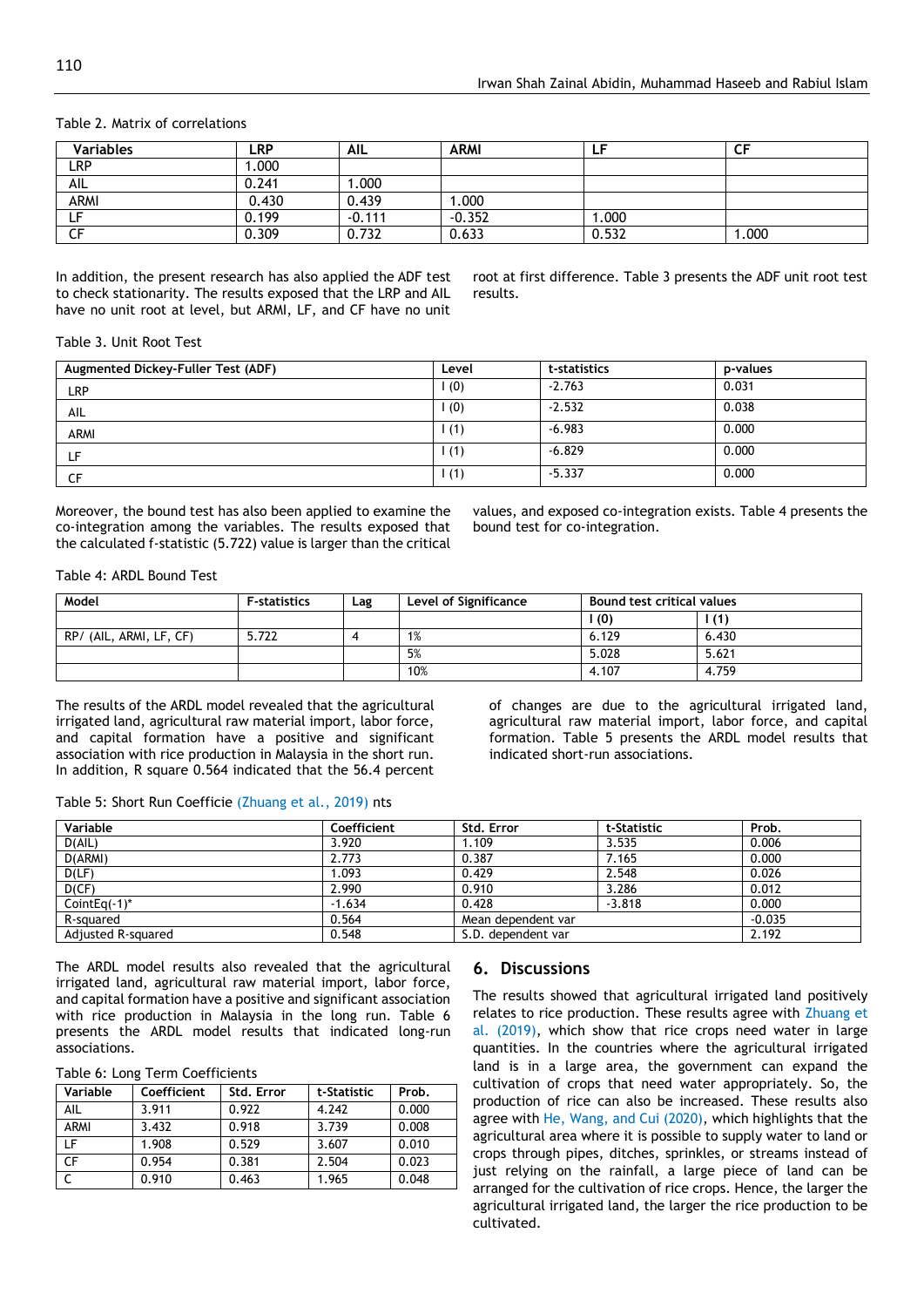| Variables   | LRP   | <b>AIL</b> | <b>ARMI</b> | ٢F      | rc<br>◡ |  |
|-------------|-------|------------|-------------|---------|---------|--|
| <b>LRP</b>  | .000  |            |             |         |         |  |
| AIL         | 0.241 | .000       |             |         |         |  |
| <b>ARMI</b> | 0.430 | 0.439      | .000        |         |         |  |
| --          | 0.199 | $-0.111$   | $-0.352$    | $000$ . |         |  |
|             | 0.309 | 0.732      | 0.633       | 0.532   | .000    |  |

#### Table 2. Matrix of correlations

In addition, the present research has also applied the ADF test to check stationarity. The results exposed that the LRP and AIL have no unit root at level, but ARMI, LF, and CF have no unit root at first difference. Table 3 presents the ADF unit root test results.

#### Table 3. Unit Root Test

| Augmented Dickey-Fuller Test (ADF) | Level | t-statistics | p-values |
|------------------------------------|-------|--------------|----------|
| <b>LRP</b>                         | (0)   | $-2.763$     | 0.031    |
| AIL                                | (0)   | $-2.532$     | 0.038    |
| <b>ARMI</b>                        | 1(1)  | $-6.983$     | 0.000    |
| ιF.                                | 1(1)  | $-6.829$     | 0.000    |
| CΕ                                 | 1(1)  | $-5.337$     | 0.000    |

Moreover, the bound test has also been applied to examine the co-integration among the variables. The results exposed that the calculated f-statistic (5.722) value is larger than the critical

values, and exposed co-integration exists. Table 4 presents the bound test for co-integration.

Table 4: ARDL Bound Test

| Model                   | <b>F-statistics</b> | Lag | Level of Significance | Bound test critical values |       |
|-------------------------|---------------------|-----|-----------------------|----------------------------|-------|
|                         |                     |     |                       | (0)                        |       |
| RP/ (AIL, ARMI, LF, CF) | 5.722               |     | 1%                    | 6.129                      | 6.430 |
|                         |                     |     | 5%                    | 5.028                      | 5.621 |
|                         |                     |     | 10%                   | 4.107                      | 4.759 |

The results of the ARDL model revealed that the agricultural irrigated land, agricultural raw material import, labor force, and capital formation have a positive and significant association with rice production in Malaysia in the short run. In addition, R square 0.564 indicated that the 56.4 percent

of changes are due to the agricultural irrigated land, agricultural raw material import, labor force, and capital formation. Table 5 presents the ARDL model results that indicated short-run associations.

#### Table 5: Short Run Coefficie (Zhuang et al., 2019) nts

| Variable           | Coefficient | Std. Error         | t-Statistic | Prob.    |
|--------------------|-------------|--------------------|-------------|----------|
| D(A L)             | 3.920       | 1.109              | 3.535       | 0.006    |
| D(ARMI)            | 2.773       | 0.387              | 7.165       | 0.000    |
| D(LF)              | .093        | 0.429              | 2.548       | 0.026    |
| D(CF)              | 2.990       | 0.910              | 3.286       | 0.012    |
| CointEq $(-1)^*$   | $-1.634$    | 0.428              | $-3.818$    | 0.000    |
| R-squared          | 0.564       | Mean dependent var |             | $-0.035$ |
| Adjusted R-squared | 0.548       | S.D. dependent var |             | 2.192    |

The ARDL model results also revealed that the agricultural irrigated land, agricultural raw material import, labor force, and capital formation have a positive and significant association with rice production in Malaysia in the long run. Table 6 presents the ARDL model results that indicated long-run associations.

#### Table 6: Long Term Coefficients

| Variable    | Coefficient | Std. Error | t-Statistic | Prob. |
|-------------|-------------|------------|-------------|-------|
| <b>AIL</b>  | 3.911       | 0.922      | 4.242       | 0.000 |
| <b>ARMI</b> | 3.432       | 0.918      | 3.739       | 0.008 |
| ΙF          | 1.908       | 0.529      | 3.607       | 0.010 |
| CF          | 0.954       | 0.381      | 2.504       | 0.023 |
|             | 0.910       | 0.463      | 1.965       | 0.048 |

#### **6. Discussions**

The results showed that agricultural irrigated land positively relates to rice production. These results agree with Zhuang et al. (2019), which show that rice crops need water in large quantities. In the countries where the agricultural irrigated land is in a large area, the government can expand the cultivation of crops that need water appropriately. So, the production of rice can also be increased. These results also agree with He, Wang, and Cui (2020), which highlights that the agricultural area where it is possible to supply water to land or crops through pipes, ditches, sprinkles, or streams instead of just relying on the rainfall, a large piece of land can be arranged for the cultivation of rice crops. Hence, the larger the agricultural irrigated land, the larger the rice production to be cultivated.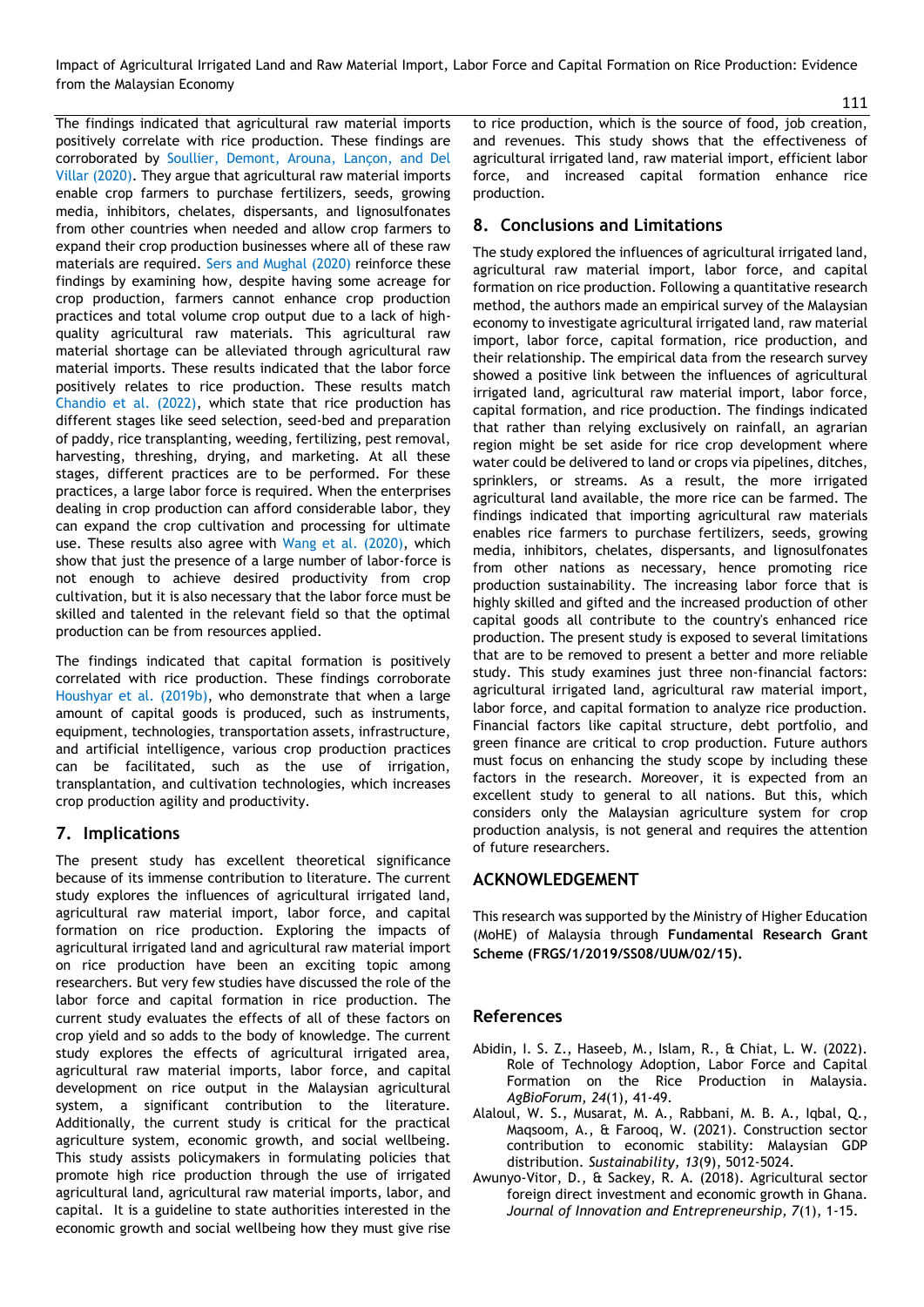Impact of Agricultural Irrigated Land and Raw Material Import, Labor Force and Capital Formation on Rice Production: Evidence from the Malaysian Economy

The findings indicated that agricultural raw material imports positively correlate with rice production. These findings are corroborated by Soullier, Demont, Arouna, Lançon, and Del Villar (2020). They argue that agricultural raw material imports enable crop farmers to purchase fertilizers, seeds, growing media, inhibitors, chelates, dispersants, and lignosulfonates from other countries when needed and allow crop farmers to expand their crop production businesses where all of these raw materials are required. Sers and Mughal (2020) reinforce these findings by examining how, despite having some acreage for crop production, farmers cannot enhance crop production practices and total volume crop output due to a lack of highquality agricultural raw materials. This agricultural raw material shortage can be alleviated through agricultural raw material imports. These results indicated that the labor force positively relates to rice production. These results match Chandio et al. (2022), which state that rice production has different stages like seed selection, seed-bed and preparation of paddy, rice transplanting, weeding, fertilizing, pest removal, harvesting, threshing, drying, and marketing. At all these stages, different practices are to be performed. For these practices, a large labor force is required. When the enterprises dealing in crop production can afford considerable labor, they can expand the crop cultivation and processing for ultimate use. These results also agree with Wang et al. (2020), which show that just the presence of a large number of labor-force is not enough to achieve desired productivity from crop cultivation, but it is also necessary that the labor force must be skilled and talented in the relevant field so that the optimal production can be from resources applied.

The findings indicated that capital formation is positively correlated with rice production. These findings corroborate Houshyar et al. (2019b), who demonstrate that when a large amount of capital goods is produced, such as instruments, equipment, technologies, transportation assets, infrastructure, and artificial intelligence, various crop production practices can be facilitated, such as the use of irrigation, transplantation, and cultivation technologies, which increases crop production agility and productivity.

# **7. Implications**

The present study has excellent theoretical significance because of its immense contribution to literature. The current study explores the influences of agricultural irrigated land, agricultural raw material import, labor force, and capital formation on rice production. Exploring the impacts of agricultural irrigated land and agricultural raw material import on rice production have been an exciting topic among researchers. But very few studies have discussed the role of the labor force and capital formation in rice production. The current study evaluates the effects of all of these factors on crop yield and so adds to the body of knowledge. The current study explores the effects of agricultural irrigated area, agricultural raw material imports, labor force, and capital development on rice output in the Malaysian agricultural system, a significant contribution to the literature. Additionally, the current study is critical for the practical agriculture system, economic growth, and social wellbeing. This study assists policymakers in formulating policies that promote high rice production through the use of irrigated agricultural land, agricultural raw material imports, labor, and capital. It is a guideline to state authorities interested in the economic growth and social wellbeing how they must give rise

to rice production, which is the source of food, job creation, and revenues. This study shows that the effectiveness of agricultural irrigated land, raw material import, efficient labor force, and increased capital formation enhance rice production.

# **8. Conclusions and Limitations**

The study explored the influences of agricultural irrigated land, agricultural raw material import, labor force, and capital formation on rice production. Following a quantitative research method, the authors made an empirical survey of the Malaysian economy to investigate agricultural irrigated land, raw material import, labor force, capital formation, rice production, and their relationship. The empirical data from the research survey showed a positive link between the influences of agricultural irrigated land, agricultural raw material import, labor force, capital formation, and rice production. The findings indicated that rather than relying exclusively on rainfall, an agrarian region might be set aside for rice crop development where water could be delivered to land or crops via pipelines, ditches, sprinklers, or streams. As a result, the more irrigated agricultural land available, the more rice can be farmed. The findings indicated that importing agricultural raw materials enables rice farmers to purchase fertilizers, seeds, growing media, inhibitors, chelates, dispersants, and lignosulfonates from other nations as necessary, hence promoting rice production sustainability. The increasing labor force that is highly skilled and gifted and the increased production of other capital goods all contribute to the country's enhanced rice production. The present study is exposed to several limitations that are to be removed to present a better and more reliable study. This study examines just three non-financial factors: agricultural irrigated land, agricultural raw material import, labor force, and capital formation to analyze rice production. Financial factors like capital structure, debt portfolio, and green finance are critical to crop production. Future authors must focus on enhancing the study scope by including these factors in the research. Moreover, it is expected from an excellent study to general to all nations. But this, which considers only the Malaysian agriculture system for crop production analysis, is not general and requires the attention of future researchers.

# **ACKNOWLEDGEMENT**

This research was supported by the Ministry of Higher Education (MoHE) of Malaysia through **Fundamental Research Grant Scheme (FRGS/1/2019/SS08/UUM/02/15).**

# **References**

- <span id="page-5-0"></span>Abidin, I. S. Z., Haseeb, M., Islam, R., & Chiat, L. W. (2022). Role of Technology Adoption, Labor Force and Capital Formation on the Rice Production in Malaysia. *AgBioForum, 24*(1), 41-49.
- <span id="page-5-1"></span>Alaloul, W. S., Musarat, M. A., Rabbani, M. B. A., Iqbal, Q., Maqsoom, A., & Farooq, W. (2021). Construction sector contribution to economic stability: Malaysian GDP distribution. *Sustainability, 13*(9), 5012-5024.
- <span id="page-5-2"></span>Awunyo-Vitor, D., & Sackey, R. A. (2018). Agricultural sector foreign direct investment and economic growth in Ghana. *Journal of Innovation and Entrepreneurship, 7*(1), 1-15.